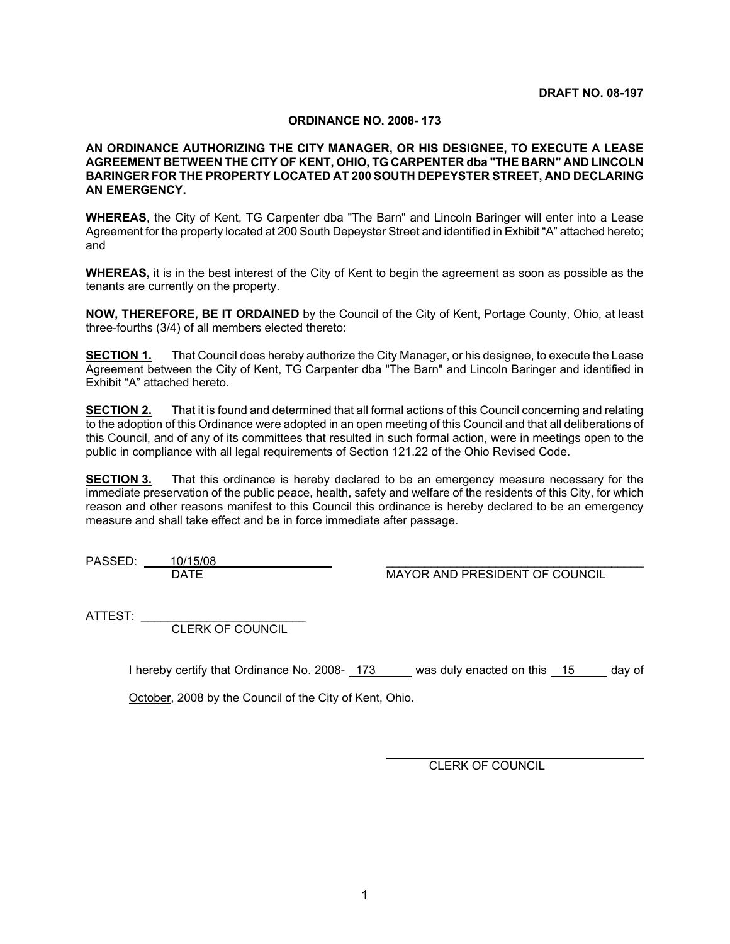## **ORDINANCE NO. 2008- 173**

## **AN ORDINANCE AUTHORIZING THE CITY MANAGER, OR HIS DESIGNEE, TO EXECUTE A LEASE AGREEMENT BETWEEN THE CITY OF KENT, OHIO, TG CARPENTER dba "THE BARN" AND LINCOLN BARINGER FOR THE PROPERTY LOCATED AT 200 SOUTH DEPEYSTER STREET, AND DECLARING AN EMERGENCY.**

**WHEREAS**, the City of Kent, TG Carpenter dba "The Barn" and Lincoln Baringer will enter into a Lease Agreement for the property located at 200 South Depeyster Street and identified in Exhibit "A" attached hereto; and

**WHEREAS,** it is in the best interest of the City of Kent to begin the agreement as soon as possible as the tenants are currently on the property.

**NOW, THEREFORE, BE IT ORDAINED** by the Council of the City of Kent, Portage County, Ohio, at least three-fourths (3/4) of all members elected thereto:

**SECTION 1.** That Council does hereby authorize the City Manager, or his designee, to execute the Lease Agreement between the City of Kent, TG Carpenter dba "The Barn" and Lincoln Baringer and identified in Exhibit "A" attached hereto.

**SECTION 2.** That it is found and determined that all formal actions of this Council concerning and relating to the adoption of this Ordinance were adopted in an open meeting of this Council and that all deliberations of this Council, and of any of its committees that resulted in such formal action, were in meetings open to the public in compliance with all legal requirements of Section 121.22 of the Ohio Revised Code.

**SECTION 3.** That this ordinance is hereby declared to be an emergency measure necessary for the immediate preservation of the public peace, health, safety and welfare of the residents of this City, for which reason and other reasons manifest to this Council this ordinance is hereby declared to be an emergency measure and shall take effect and be in force immediate after passage.

PASSED:  $\frac{10/15/08}{\text{DATE}}$ 

MAYOR AND PRESIDENT OF COUNCIL

ATTEST:

CLERK OF COUNCIL

I hereby certify that Ordinance No. 2008- 173 was duly enacted on this 15 day of

October, 2008 by the Council of the City of Kent, Ohio.

CLERK OF COUNCIL

\_\_\_\_\_\_\_\_\_\_\_\_\_\_\_\_\_\_\_\_\_\_\_\_\_\_\_\_\_\_\_\_\_\_\_\_\_\_\_\_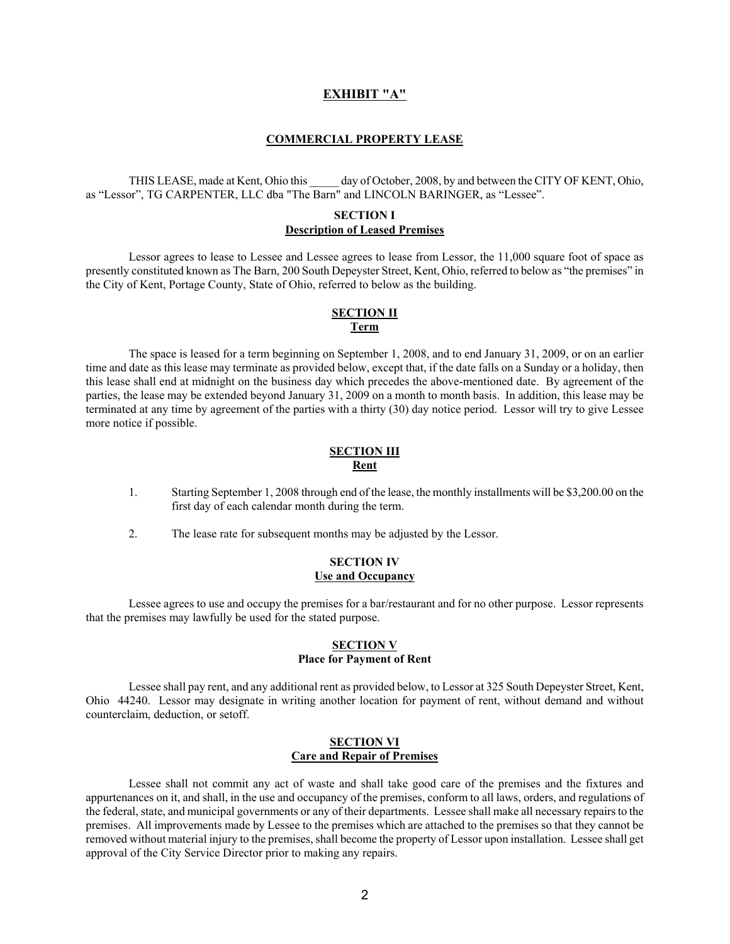### **EXHIBIT "A"**

#### **COMMERCIAL PROPERTY LEASE**

THIS LEASE, made at Kent, Ohio this day of October, 2008, by and between the CITY OF KENT, Ohio, as "Lessor", TG CARPENTER, LLC dba "The Barn" and LINCOLN BARINGER, as "Lessee".

### **SECTION I Description of Leased Premises**

Lessor agrees to lease to Lessee and Lessee agrees to lease from Lessor, the 11,000 square foot of space as presently constituted known as The Barn, 200 South Depeyster Street, Kent, Ohio, referred to below as "the premises" in the City of Kent, Portage County, State of Ohio, referred to below as the building.

#### **SECTION II Term**

The space is leased for a term beginning on September 1, 2008, and to end January 31, 2009, or on an earlier time and date as this lease may terminate as provided below, except that, if the date falls on a Sunday or a holiday, then this lease shall end at midnight on the business day which precedes the above-mentioned date. By agreement of the parties, the lease may be extended beyond January 31, 2009 on a month to month basis. In addition, this lease may be terminated at any time by agreement of the parties with a thirty (30) day notice period. Lessor will try to give Lessee more notice if possible.

### **SECTION III Rent**

- 1. Starting September 1, 2008 through end of the lease, the monthly installments will be \$3,200.00 on the first day of each calendar month during the term.
- 2. The lease rate for subsequent months may be adjusted by the Lessor.

### **SECTION IV Use and Occupancy**

Lessee agrees to use and occupy the premises for a bar/restaurant and for no other purpose. Lessor represents that the premises may lawfully be used for the stated purpose.

#### **SECTION V Place for Payment of Rent**

Lessee shall pay rent, and any additional rent as provided below, to Lessor at 325 South Depeyster Street, Kent, Ohio 44240. Lessor may designate in writing another location for payment of rent, without demand and without counterclaim, deduction, or setoff.

#### **SECTION VI Care and Repair of Premises**

Lessee shall not commit any act of waste and shall take good care of the premises and the fixtures and appurtenances on it, and shall, in the use and occupancy of the premises, conform to all laws, orders, and regulations of the federal, state, and municipal governments or any of their departments. Lessee shall make all necessary repairs to the premises. All improvements made by Lessee to the premises which are attached to the premises so that they cannot be removed without material injury to the premises, shall become the property of Lessor upon installation. Lessee shall get approval of the City Service Director prior to making any repairs.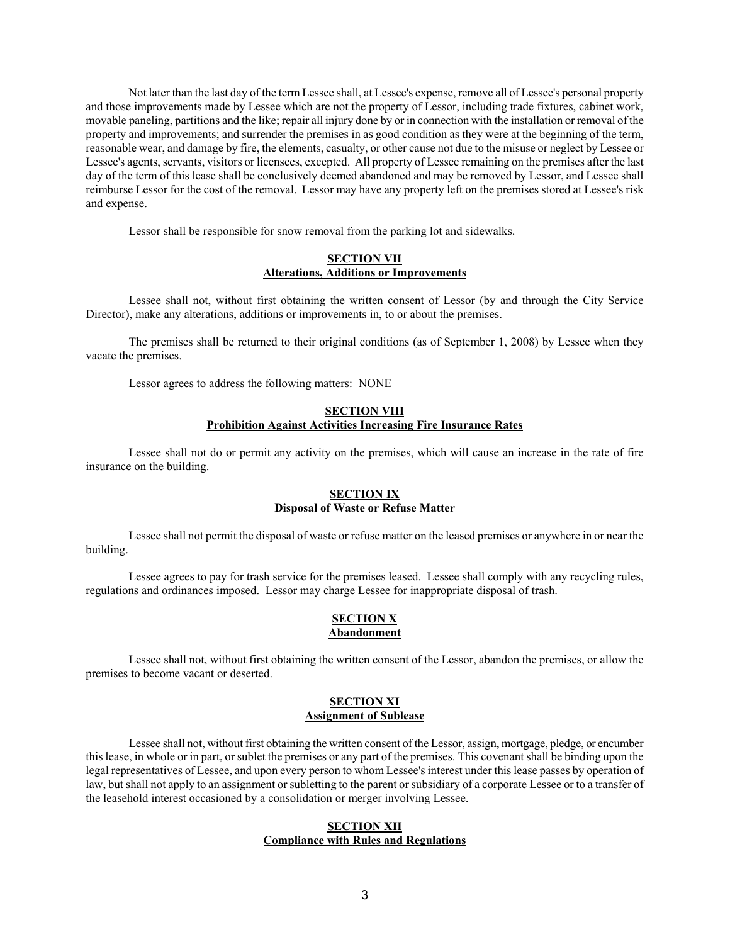Not later than the last day of the term Lessee shall, at Lessee's expense, remove all of Lessee's personal property and those improvements made by Lessee which are not the property of Lessor, including trade fixtures, cabinet work, movable paneling, partitions and the like; repair all injury done by or in connection with the installation or removal of the property and improvements; and surrender the premises in as good condition as they were at the beginning of the term, reasonable wear, and damage by fire, the elements, casualty, or other cause not due to the misuse or neglect by Lessee or Lessee's agents, servants, visitors or licensees, excepted. All property of Lessee remaining on the premises after the last day of the term of this lease shall be conclusively deemed abandoned and may be removed by Lessor, and Lessee shall reimburse Lessor for the cost of the removal. Lessor may have any property left on the premises stored at Lessee's risk and expense.

Lessor shall be responsible for snow removal from the parking lot and sidewalks.

### **SECTION VII Alterations, Additions or Improvements**

Lessee shall not, without first obtaining the written consent of Lessor (by and through the City Service Director), make any alterations, additions or improvements in, to or about the premises.

The premises shall be returned to their original conditions (as of September 1, 2008) by Lessee when they vacate the premises.

Lessor agrees to address the following matters: NONE

## **SECTION VIII Prohibition Against Activities Increasing Fire Insurance Rates**

Lessee shall not do or permit any activity on the premises, which will cause an increase in the rate of fire insurance on the building.

### **SECTION IX Disposal of Waste or Refuse Matter**

Lessee shall not permit the disposal of waste or refuse matter on the leased premises or anywhere in or near the building.

Lessee agrees to pay for trash service for the premises leased. Lessee shall comply with any recycling rules, regulations and ordinances imposed. Lessor may charge Lessee for inappropriate disposal of trash.

### **SECTION X Abandonment**

Lessee shall not, without first obtaining the written consent of the Lessor, abandon the premises, or allow the premises to become vacant or deserted.

### **SECTION XI Assignment of Sublease**

Lessee shall not, without first obtaining the written consent of the Lessor, assign, mortgage, pledge, or encumber this lease, in whole or in part, or sublet the premises or any part of the premises. This covenant shall be binding upon the legal representatives of Lessee, and upon every person to whom Lessee's interest under this lease passes by operation of law, but shall not apply to an assignment or subletting to the parent or subsidiary of a corporate Lessee or to a transfer of the leasehold interest occasioned by a consolidation or merger involving Lessee.

### **SECTION XII Compliance with Rules and Regulations**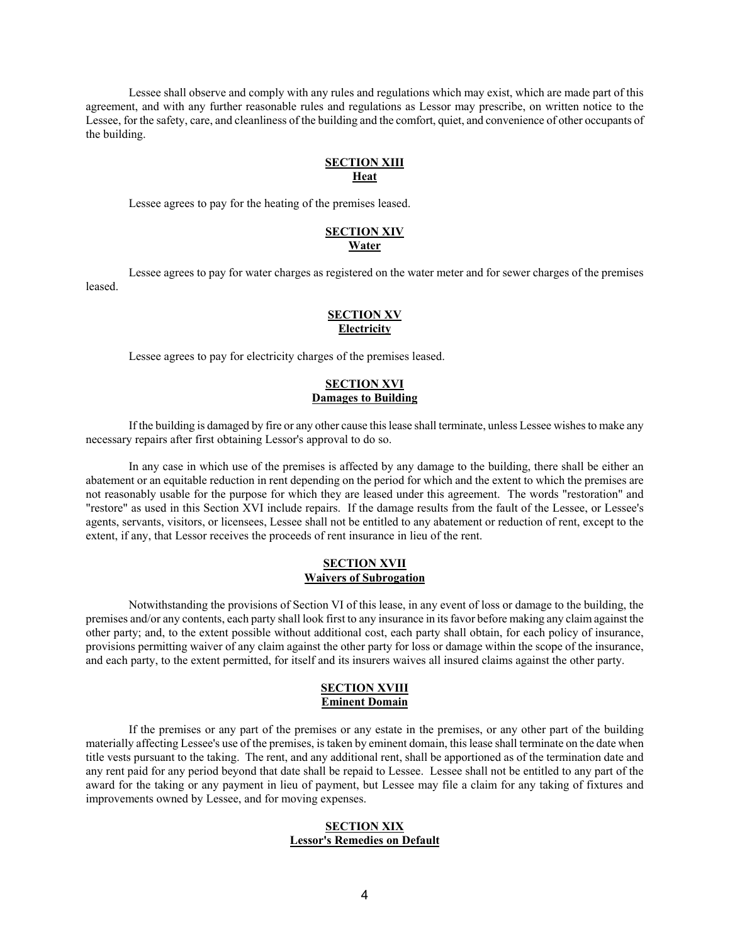Lessee shall observe and comply with any rules and regulations which may exist, which are made part of this agreement, and with any further reasonable rules and regulations as Lessor may prescribe, on written notice to the Lessee, for the safety, care, and cleanliness of the building and the comfort, quiet, and convenience of other occupants of the building.

### **SECTION XIII Heat**

Lessee agrees to pay for the heating of the premises leased.

#### **SECTION XIV Water**

Lessee agrees to pay for water charges as registered on the water meter and for sewer charges of the premises leased.

## **SECTION XV Electricity**

Lessee agrees to pay for electricity charges of the premises leased.

### **SECTION XVI Damages to Building**

If the building is damaged by fire or any other cause this lease shall terminate, unless Lessee wishes to make any necessary repairs after first obtaining Lessor's approval to do so.

In any case in which use of the premises is affected by any damage to the building, there shall be either an abatement or an equitable reduction in rent depending on the period for which and the extent to which the premises are not reasonably usable for the purpose for which they are leased under this agreement. The words "restoration" and "restore" as used in this Section XVI include repairs. If the damage results from the fault of the Lessee, or Lessee's agents, servants, visitors, or licensees, Lessee shall not be entitled to any abatement or reduction of rent, except to the extent, if any, that Lessor receives the proceeds of rent insurance in lieu of the rent.

### **SECTION XVII Waivers of Subrogation**

Notwithstanding the provisions of Section VI of this lease, in any event of loss or damage to the building, the premises and/or any contents, each party shall look first to any insurance in its favor before making any claim against the other party; and, to the extent possible without additional cost, each party shall obtain, for each policy of insurance, provisions permitting waiver of any claim against the other party for loss or damage within the scope of the insurance, and each party, to the extent permitted, for itself and its insurers waives all insured claims against the other party.

### **SECTION XVIII Eminent Domain**

If the premises or any part of the premises or any estate in the premises, or any other part of the building materially affecting Lessee's use of the premises, is taken by eminent domain, this lease shall terminate on the date when title vests pursuant to the taking. The rent, and any additional rent, shall be apportioned as of the termination date and any rent paid for any period beyond that date shall be repaid to Lessee. Lessee shall not be entitled to any part of the award for the taking or any payment in lieu of payment, but Lessee may file a claim for any taking of fixtures and improvements owned by Lessee, and for moving expenses.

### **SECTION XIX Lessor's Remedies on Default**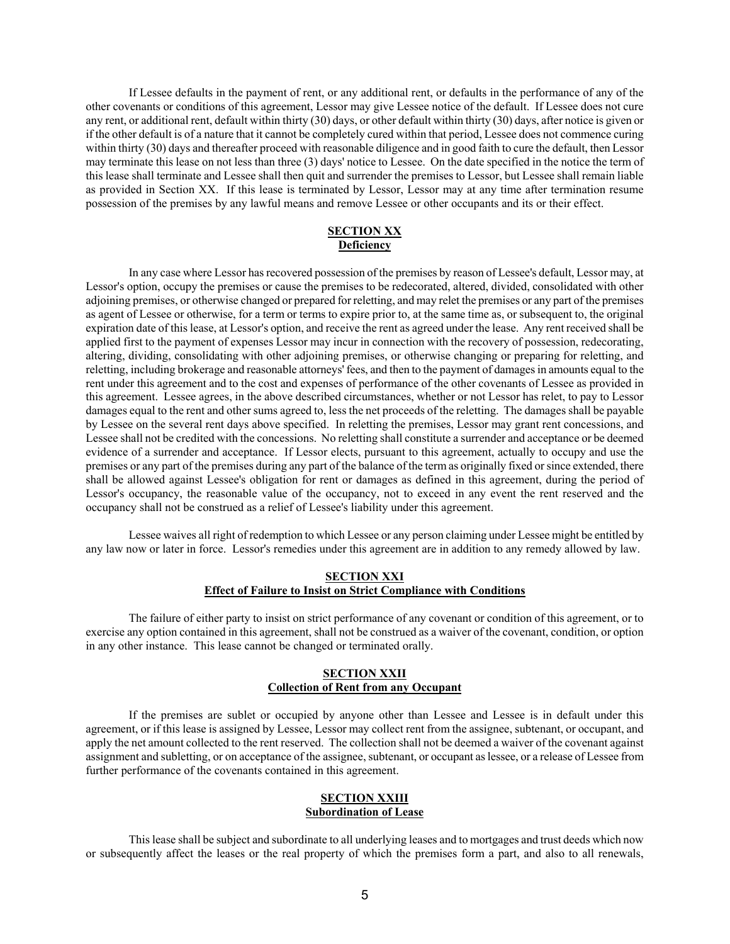If Lessee defaults in the payment of rent, or any additional rent, or defaults in the performance of any of the other covenants or conditions of this agreement, Lessor may give Lessee notice of the default. If Lessee does not cure any rent, or additional rent, default within thirty (30) days, or other default within thirty (30) days, after notice is given or if the other default is of a nature that it cannot be completely cured within that period, Lessee does not commence curing within thirty (30) days and thereafter proceed with reasonable diligence and in good faith to cure the default, then Lessor may terminate this lease on not less than three (3) days' notice to Lessee. On the date specified in the notice the term of this lease shall terminate and Lessee shall then quit and surrender the premises to Lessor, but Lessee shall remain liable as provided in Section XX. If this lease is terminated by Lessor, Lessor may at any time after termination resume possession of the premises by any lawful means and remove Lessee or other occupants and its or their effect.

## **SECTION XX Deficiency**

In any case where Lessor has recovered possession of the premises by reason of Lessee's default, Lessor may, at Lessor's option, occupy the premises or cause the premises to be redecorated, altered, divided, consolidated with other adjoining premises, or otherwise changed or prepared for reletting, and may relet the premises or any part of the premises as agent of Lessee or otherwise, for a term or terms to expire prior to, at the same time as, or subsequent to, the original expiration date of this lease, at Lessor's option, and receive the rent as agreed under the lease. Any rent received shall be applied first to the payment of expenses Lessor may incur in connection with the recovery of possession, redecorating, altering, dividing, consolidating with other adjoining premises, or otherwise changing or preparing for reletting, and reletting, including brokerage and reasonable attorneys' fees, and then to the payment of damages in amounts equal to the rent under this agreement and to the cost and expenses of performance of the other covenants of Lessee as provided in this agreement. Lessee agrees, in the above described circumstances, whether or not Lessor has relet, to pay to Lessor damages equal to the rent and other sums agreed to, less the net proceeds of the reletting. The damages shall be payable by Lessee on the several rent days above specified. In reletting the premises, Lessor may grant rent concessions, and Lessee shall not be credited with the concessions. No reletting shall constitute a surrender and acceptance or be deemed evidence of a surrender and acceptance. If Lessor elects, pursuant to this agreement, actually to occupy and use the premises or any part of the premises during any part of the balance of the term as originally fixed or since extended, there shall be allowed against Lessee's obligation for rent or damages as defined in this agreement, during the period of Lessor's occupancy, the reasonable value of the occupancy, not to exceed in any event the rent reserved and the occupancy shall not be construed as a relief of Lessee's liability under this agreement.

Lessee waives all right of redemption to which Lessee or any person claiming under Lessee might be entitled by any law now or later in force. Lessor's remedies under this agreement are in addition to any remedy allowed by law.

## **SECTION XXI Effect of Failure to Insist on Strict Compliance with Conditions**

The failure of either party to insist on strict performance of any covenant or condition of this agreement, or to exercise any option contained in this agreement, shall not be construed as a waiver of the covenant, condition, or option in any other instance. This lease cannot be changed or terminated orally.

### **SECTION XXII Collection of Rent from any Occupant**

If the premises are sublet or occupied by anyone other than Lessee and Lessee is in default under this agreement, or if this lease is assigned by Lessee, Lessor may collect rent from the assignee, subtenant, or occupant, and apply the net amount collected to the rent reserved. The collection shall not be deemed a waiver of the covenant against assignment and subletting, or on acceptance of the assignee, subtenant, or occupant as lessee, or a release of Lessee from further performance of the covenants contained in this agreement.

### **SECTION XXIII Subordination of Lease**

This lease shall be subject and subordinate to all underlying leases and to mortgages and trust deeds which now or subsequently affect the leases or the real property of which the premises form a part, and also to all renewals,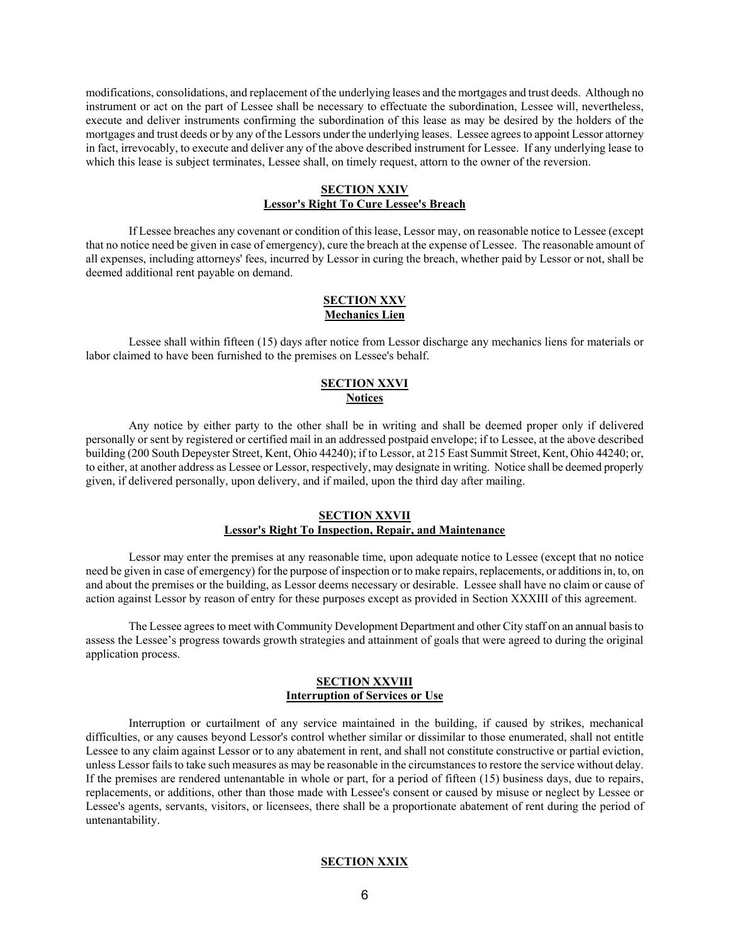modifications, consolidations, and replacement of the underlying leases and the mortgages and trust deeds. Although no instrument or act on the part of Lessee shall be necessary to effectuate the subordination, Lessee will, nevertheless, execute and deliver instruments confirming the subordination of this lease as may be desired by the holders of the mortgages and trust deeds or by any of the Lessors under the underlying leases. Lessee agrees to appoint Lessor attorney in fact, irrevocably, to execute and deliver any of the above described instrument for Lessee. If any underlying lease to which this lease is subject terminates, Lessee shall, on timely request, attorn to the owner of the reversion.

#### **SECTION XXIV Lessor's Right To Cure Lessee's Breach**

If Lessee breaches any covenant or condition of this lease, Lessor may, on reasonable notice to Lessee (except that no notice need be given in case of emergency), cure the breach at the expense of Lessee. The reasonable amount of all expenses, including attorneys' fees, incurred by Lessor in curing the breach, whether paid by Lessor or not, shall be deemed additional rent payable on demand.

### **SECTION XXV Mechanics Lien**

Lessee shall within fifteen (15) days after notice from Lessor discharge any mechanics liens for materials or labor claimed to have been furnished to the premises on Lessee's behalf.

### **SECTION XXVI Notices**

 Any notice by either party to the other shall be in writing and shall be deemed proper only if delivered personally or sent by registered or certified mail in an addressed postpaid envelope; if to Lessee, at the above described building (200 South Depeyster Street, Kent, Ohio 44240); if to Lessor, at 215 East Summit Street, Kent, Ohio 44240; or, to either, at another address as Lessee or Lessor, respectively, may designate in writing. Notice shall be deemed properly given, if delivered personally, upon delivery, and if mailed, upon the third day after mailing.

### **SECTION XXVII Lessor's Right To Inspection, Repair, and Maintenance**

Lessor may enter the premises at any reasonable time, upon adequate notice to Lessee (except that no notice need be given in case of emergency) for the purpose of inspection or to make repairs, replacements, or additions in, to, on and about the premises or the building, as Lessor deems necessary or desirable. Lessee shall have no claim or cause of action against Lessor by reason of entry for these purposes except as provided in Section XXXIII of this agreement.

The Lessee agrees to meet with Community Development Department and other City staff on an annual basis to assess the Lessee's progress towards growth strategies and attainment of goals that were agreed to during the original application process.

### **SECTION XXVIII Interruption of Services or Use**

Interruption or curtailment of any service maintained in the building, if caused by strikes, mechanical difficulties, or any causes beyond Lessor's control whether similar or dissimilar to those enumerated, shall not entitle Lessee to any claim against Lessor or to any abatement in rent, and shall not constitute constructive or partial eviction, unless Lessor fails to take such measures as may be reasonable in the circumstances to restore the service without delay. If the premises are rendered untenantable in whole or part, for a period of fifteen (15) business days, due to repairs, replacements, or additions, other than those made with Lessee's consent or caused by misuse or neglect by Lessee or Lessee's agents, servants, visitors, or licensees, there shall be a proportionate abatement of rent during the period of untenantability.

## **SECTION XXIX**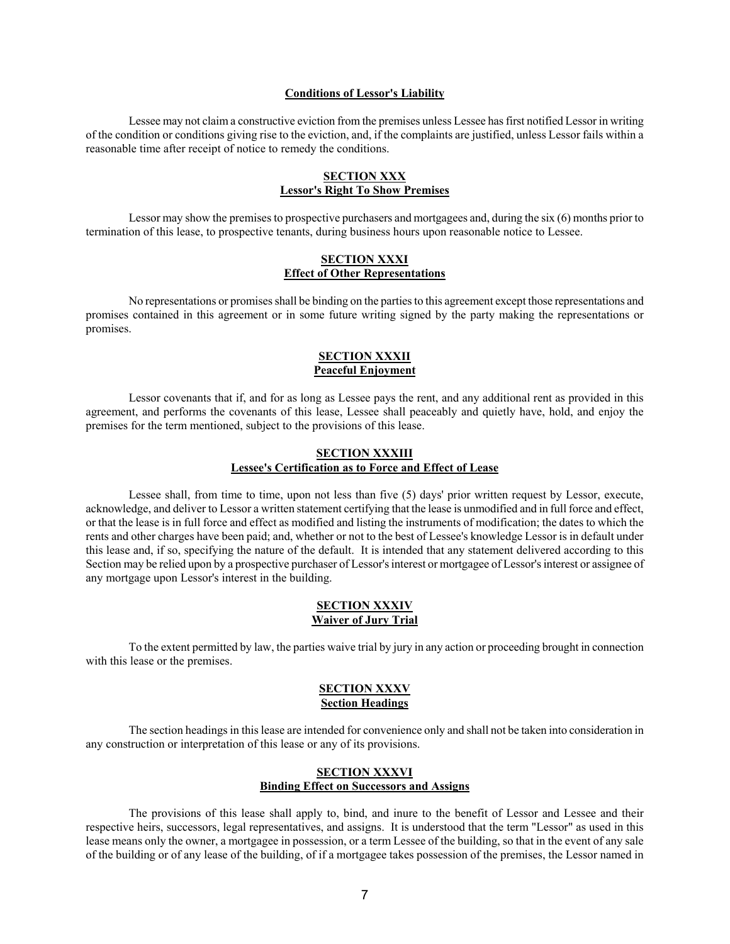#### **Conditions of Lessor's Liability**

Lessee may not claim a constructive eviction from the premises unless Lessee has first notified Lessor in writing of the condition or conditions giving rise to the eviction, and, if the complaints are justified, unless Lessor fails within a reasonable time after receipt of notice to remedy the conditions.

### **SECTION XXX Lessor's Right To Show Premises**

Lessor may show the premises to prospective purchasers and mortgagees and, during the six (6) months prior to termination of this lease, to prospective tenants, during business hours upon reasonable notice to Lessee.

### **SECTION XXXI Effect of Other Representations**

No representations or promises shall be binding on the parties to this agreement except those representations and promises contained in this agreement or in some future writing signed by the party making the representations or promises.

### **SECTION XXXII Peaceful Enjoyment**

Lessor covenants that if, and for as long as Lessee pays the rent, and any additional rent as provided in this agreement, and performs the covenants of this lease, Lessee shall peaceably and quietly have, hold, and enjoy the premises for the term mentioned, subject to the provisions of this lease.

### **SECTION XXXIII Lessee's Certification as to Force and Effect of Lease**

Lessee shall, from time to time, upon not less than five (5) days' prior written request by Lessor, execute, acknowledge, and deliver to Lessor a written statement certifying that the lease is unmodified and in full force and effect, or that the lease is in full force and effect as modified and listing the instruments of modification; the dates to which the rents and other charges have been paid; and, whether or not to the best of Lessee's knowledge Lessor is in default under this lease and, if so, specifying the nature of the default. It is intended that any statement delivered according to this Section may be relied upon by a prospective purchaser of Lessor's interest or mortgagee of Lessor's interest or assignee of any mortgage upon Lessor's interest in the building.

### **SECTION XXXIV Waiver of Jury Trial**

To the extent permitted by law, the parties waive trial by jury in any action or proceeding brought in connection with this lease or the premises.

#### **SECTION XXXV Section Headings**

The section headings in this lease are intended for convenience only and shall not be taken into consideration in any construction or interpretation of this lease or any of its provisions.

### **SECTION XXXVI Binding Effect on Successors and Assigns**

The provisions of this lease shall apply to, bind, and inure to the benefit of Lessor and Lessee and their respective heirs, successors, legal representatives, and assigns. It is understood that the term "Lessor" as used in this lease means only the owner, a mortgagee in possession, or a term Lessee of the building, so that in the event of any sale of the building or of any lease of the building, of if a mortgagee takes possession of the premises, the Lessor named in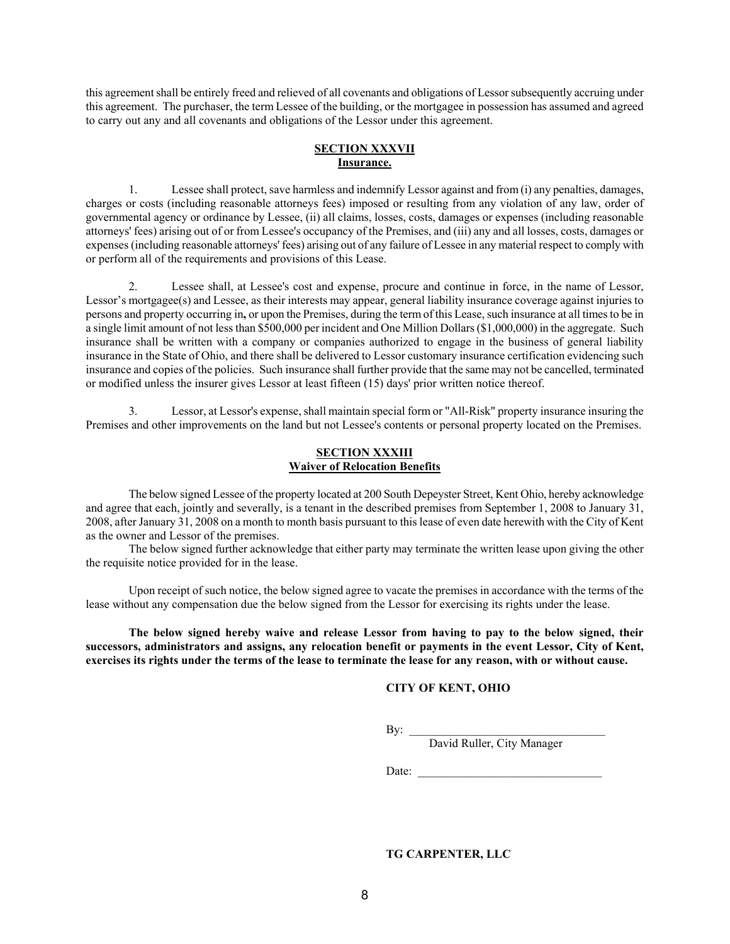this agreement shall be entirely freed and relieved of all covenants and obligations of Lessor subsequently accruing under this agreement. The purchaser, the term Lessee of the building, or the mortgagee in possession has assumed and agreed to carry out any and all covenants and obligations of the Lessor under this agreement.

## **SECTION XXXVII Insurance.**

1. Lessee shall protect, save harmless and indemnify Lessor against and from (i) any penalties, damages, charges or costs (including reasonable attorneys fees) imposed or resulting from any violation of any law, order of governmental agency or ordinance by Lessee, (ii) all claims, losses, costs, damages or expenses (including reasonable attorneys' fees) arising out of or from Lessee's occupancy of the Premises, and (iii) any and all losses, costs, damages or expenses (including reasonable attorneys' fees) arising out of any failure of Lessee in any material respect to comply with or perform all of the requirements and provisions of this Lease.

2. Lessee shall, at Lessee's cost and expense, procure and continue in force, in the name of Lessor, Lessor's mortgagee(s) and Lessee, as their interests may appear, general liability insurance coverage against injuries to persons and property occurring in**,** or upon the Premises, during the term of this Lease, such insurance at all times to be in a single limit amount of not less than \$500,000 per incident and One Million Dollars (\$1,000,000) in the aggregate. Such insurance shall be written with a company or companies authorized to engage in the business of general liability insurance in the State of Ohio, and there shall be delivered to Lessor customary insurance certification evidencing such insurance and copies of the policies. Such insurance shall further provide that the same may not be cancelled, terminated or modified unless the insurer gives Lessor at least fifteen (15) days' prior written notice thereof.

3. Lessor, at Lessor's expense, shall maintain special form or "All-Risk" property insurance insuring the Premises and other improvements on the land but not Lessee's contents or personal property located on the Premises.

### **SECTION XXXIII Waiver of Relocation Benefits**

The below signed Lessee of the property located at 200 South Depeyster Street, Kent Ohio, hereby acknowledge and agree that each, jointly and severally, is a tenant in the described premises from September 1, 2008 to January 31, 2008, after January 31, 2008 on a month to month basis pursuant to this lease of even date herewith with the City of Kent as the owner and Lessor of the premises.

The below signed further acknowledge that either party may terminate the written lease upon giving the other the requisite notice provided for in the lease.

Upon receipt of such notice, the below signed agree to vacate the premises in accordance with the terms of the lease without any compensation due the below signed from the Lessor for exercising its rights under the lease.

**The below signed hereby waive and release Lessor from having to pay to the below signed, their successors, administrators and assigns, any relocation benefit or payments in the event Lessor, City of Kent, exercises its rights under the terms of the lease to terminate the lease for any reason, with or without cause.** 

## **CITY OF KENT, OHIO**

 $\mathbf{B}$ y:  $\Box$ 

By: <u>David Ruller, City Manager</u>

Date: \_\_\_\_\_\_\_\_\_\_\_\_\_\_\_\_\_\_\_\_\_\_\_\_\_\_\_\_\_\_\_

**TG CARPENTER, LLC**